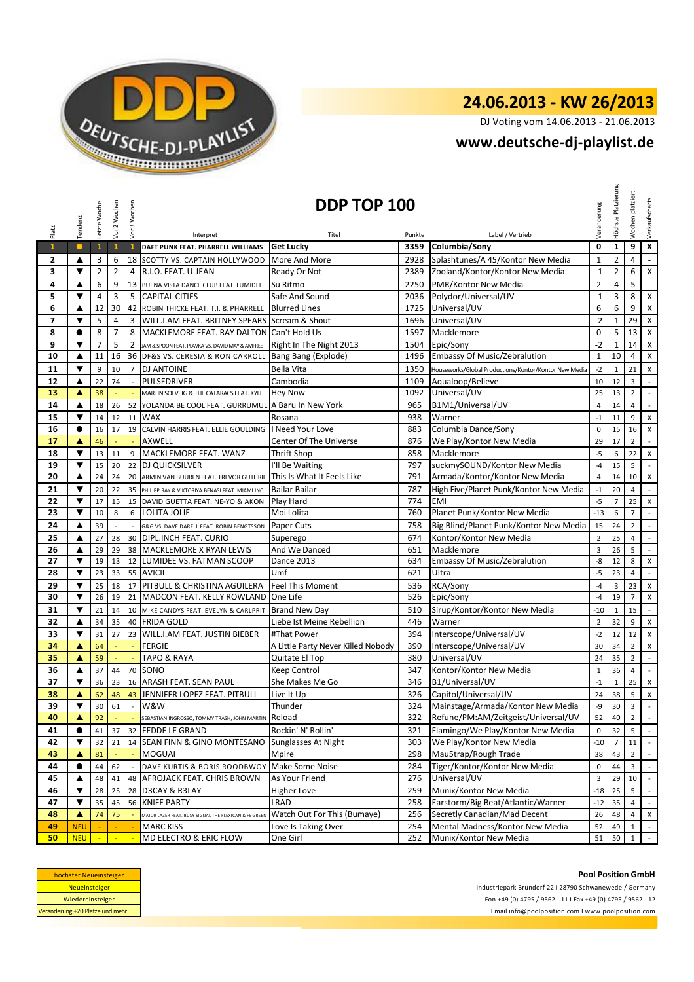

# **24.06.2013 - KW 26/2013**

DJ Voting vom 14.06.2013 - 21.06.2013

## **<www.deutsche-dj-playlist.de>**

| Platz          | Tendenz              | Letzte Woche            | Vor 2 Wochen               | Vor 3 Wochen               | Interpret                                                        | DDP TOP 100<br>Titel               | Punkte | Label / Vertrieb                                      | Veränderung    | Höchste Platzierung | platziert<br>Wochen | Verkaufscharts              |
|----------------|----------------------|-------------------------|----------------------------|----------------------------|------------------------------------------------------------------|------------------------------------|--------|-------------------------------------------------------|----------------|---------------------|---------------------|-----------------------------|
| $\mathbf{1}$   | $\bullet$            | $\mathbf{1}$            | $\mathbf{1}$               | $\mathbf{1}$               | DAFT PUNK FEAT. PHARRELL WILLIAMS                                | <b>Get Lucky</b>                   | 3359   | Columbia/Sony                                         | 0              | $\mathbf 1$         | 9                   | $\overline{\mathbf{x}}$     |
| 2              | ▲                    | 3                       | 6                          |                            | 18 SCOTTY VS. CAPTAIN HOLLYWOOD                                  | More And More                      | 2928   | Splashtunes/A 45/Kontor New Media                     | $\mathbf 1$    | $\mathbf{2}$        | 4                   | $\Box$                      |
| 3              | ▼                    | $\overline{2}$          | $\overline{2}$             | 4                          | R.I.O. FEAT. U-JEAN                                              | Ready Or Not                       | 2389   | Zooland/Kontor/Kontor New Media                       | $-1$           | $\mathbf{2}$        | 6                   | $\mathsf X$                 |
| 4              | ▲                    | 6                       | 9                          | 13                         | BUENA VISTA DANCE CLUB FEAT. LUMIDEE                             | Su Ritmo                           | 2250   | PMR/Kontor New Media                                  | $\overline{2}$ | 4                   | 5                   | $\blacksquare$              |
| 5              | ▼                    | $\overline{\mathbf{4}}$ | 3                          | 5                          | <b>CAPITAL CITIES</b>                                            | Safe And Sound                     | 2036   | Polydor/Universal/UV                                  | $-1$           | 3                   | 8                   | $\pmb{\mathsf{X}}$          |
| 6              | ▲                    | 12                      | 30                         | 42                         | ROBIN THICKE FEAT. T.I. & PHARRELL                               | <b>Blurred Lines</b>               | 1725   | Universal/UV                                          | 6              | 6                   | 9                   | $\mathsf X$                 |
| $\overline{7}$ | ▼                    | 5                       | $\overline{4}$             | 3                          | WILL.I.AM FEAT. BRITNEY SPEARS Scream & Shout                    |                                    | 1696   | Universal/UV                                          | $-2$           | $\mathbf{1}$        | 29                  | $\mathsf X$                 |
| 8              | $\bullet$            | 8                       | $\overline{7}$             | 8                          | MACKLEMORE FEAT. RAY DALTON Can't Hold Us                        |                                    |        | 1597 Macklemore                                       | $\Omega$       | 5                   | 13                  | $\mathsf X$                 |
| 9              | ▼                    | $\overline{7}$          | 5                          | $\overline{2}$             | JAM & SPOON FEAT. PLAVKA VS. DAVID MAY & AMFREE                  | Right In The Night 2013            | 1504   | Epic/Sony                                             | $-2$           | $\mathbf{1}$        | 14                  | $\pmb{\chi}$                |
| 10             | ▲                    | 11                      | 16                         |                            | 36 DF&S VS. CERESIA & RON CARROLL                                | Bang Bang (Explode)                | 1496   | <b>Embassy Of Music/Zebralution</b>                   | $\mathbf{1}$   | 10                  | $\overline{4}$      | $\pmb{\mathsf{X}}$          |
| 11             | $\blacktriangledown$ | 9                       | 10                         |                            | 7 DJ ANTOINE                                                     | Bella Vita                         | 1350   | Houseworks/Global Productions/Kontor/Kontor New Media | $-2$           | $\mathbf{1}$        | 21                  | $\boldsymbol{\mathsf{X}}$   |
| 12             | ▲                    | 22                      | 74                         |                            | PULSEDRIVER                                                      | Cambodia                           | 1109   | Aqualoop/Believe                                      | 10             | 12                  | 3                   | $\mathbb{Z}^2$              |
| 13             | $\blacktriangle$     | 38                      |                            |                            | MARTIN SOLVEIG & THE CATARACS FEAT. KYLE                         | <b>Hey Now</b>                     | 1092   | Universal/UV                                          | 25             | 13                  | $\overline{2}$      | $\mathbb{Z}^{\mathbb{Z}}$   |
| 14             | ▲                    | 18                      | 26                         | 52                         | YOLANDA BE COOL FEAT. GURRUMUL A Baru In New York                |                                    | 965    | B1M1/Universal/UV                                     | $\overline{4}$ | 14                  | $\overline{4}$      | $\mathbb{L}$                |
| 15             | ▼                    | 14                      | 12                         | 11                         | <b>WAX</b>                                                       | Rosana                             | 938    | Warner                                                | $-1$           | 11                  | 9                   | $\pmb{\times}$              |
| 16             | $\bullet$            | 16                      | 17                         |                            | 19 CALVIN HARRIS FEAT. ELLIE GOULDING   Need Your Love           |                                    | 883    | Columbia Dance/Sony                                   | $\mathbf 0$    | 15                  | 16                  | $\mathsf X$                 |
| 17             | Δ                    | 46                      |                            |                            | AXWELL                                                           | Center Of The Universe             | 876    | We Play/Kontor New Media                              | 29             | 17                  | $\overline{2}$      | $\sim$                      |
| 18             | ▼                    | 13                      | 11                         | 9                          | MACKLEMORE FEAT. WANZ                                            | <b>Thrift Shop</b>                 | 858    | Macklemore                                            | $-5$           | 6                   | 22                  | $\mathsf X$                 |
| 19             | $\blacktriangledown$ | 15                      | 20                         | 22                         | <b>DJ QUICKSILVER</b>                                            | I'll Be Waiting                    | 797    | suckmySOUND/Kontor New Media                          | $-4$           | 15                  | 5                   | $\blacksquare$              |
| 20             | ▲                    | 24                      | 24                         | 20                         | ARMIN VAN BUUREN FEAT. TREVOR GUTHRIE This Is What It Feels Like |                                    | 791    | Armada/Kontor/Kontor New Media                        | $\overline{4}$ | 14                  | 10                  | X                           |
| 21             | ▼                    | 20                      | 22                         | 35                         | PHILIPP RAY & VIKTORIYA BENASI FEAT. MIAMI INC.                  | <b>Bailar Bailar</b>               | 787    | High Five/Planet Punk/Kontor New Media                | $-1$           | 20                  | 4                   | $\mathcal{L}_{\mathcal{A}}$ |
| 22             | ▼                    | 17                      | 15                         |                            | 15 DAVID GUETTA FEAT. NE-YO & AKON                               | Play Hard                          | 774    | <b>EMI</b>                                            | $-5$           | $\overline{7}$      | 25                  | X                           |
| 23             | ▼                    | 10                      | 8                          | 6                          | <b>LOLITA JOLIE</b>                                              | Moi Lolita                         | 760    | Planet Punk/Kontor New Media                          | $-13$          | 6                   | $\overline{7}$      | $\mathbb{Z}^2$              |
| 24             | ▲                    | 39                      | $\overline{a}$             | $\overline{\phantom{a}}$   | G&G VS. DAVE DARELL FEAT. ROBIN BENGTSSON                        | Paper Cuts                         | 758    | Big Blind/Planet Punk/Kontor New Media                | 15             | 24                  | $\overline{2}$      | $\sim$                      |
| 25             | ▲                    | 27                      | 28                         |                            | 30 DIPL.INCH FEAT. CURIO                                         | Superego                           | 674    | Kontor/Kontor New Media                               | $\overline{2}$ | 25                  | 4                   | $\sim$                      |
| 26             | ▲                    | 29                      | 29                         |                            | 38 MACKLEMORE X RYAN LEWIS                                       | And We Danced                      | 651    | Macklemore                                            | 3              | 26                  | 5                   | $\mathbb{Z}^2$              |
| 27             | ▼                    | 19                      | 13                         | 12                         | LUMIDEE VS. FATMAN SCOOP                                         | Dance 2013                         | 634    | <b>Embassy Of Music/Zebralution</b>                   | -8             | 12                  | 8                   | X                           |
| 28             | ▼                    | 23                      | 33                         |                            | 55 AVICII                                                        | Umf                                | 621    | Ultra                                                 | $-5$           | 23                  | 4                   | $\sim$                      |
| 29             | ▼                    | 25                      | 18                         | 17                         | PITBULL & CHRISTINA AGUILERA                                     | <b>Feel This Moment</b>            | 536    | RCA/Sony                                              | $-4$           | 3                   | 23                  | $\pmb{\times}$              |
| 30             | $\blacktriangledown$ | 26                      | 19                         | 21                         | MADCON FEAT. KELLY ROWLAND                                       | One Life                           | 526    | Epic/Sony                                             | $-4$           | 19                  | $\overline{7}$      | $\pmb{\mathsf{X}}$          |
| 31             | ▼                    | 21                      | 14                         |                            | 10 MIKE CANDYS FEAT. EVELYN & CARLPRIT                           | <b>Brand New Day</b>               | 510    | Sirup/Kontor/Kontor New Media                         | $-10$          | $\mathbf{1}$        | 15                  | $\mathbb{Z}^{\mathbb{Z}}$   |
| 32             | ▲                    | 34                      | 35                         |                            | 40 FRIDA GOLD                                                    | Liebe Ist Meine Rebellion          | 446    | Warner                                                | $\overline{2}$ | 32                  | 9                   | $\pmb{\mathsf{X}}$          |
| 33             | $\blacktriangledown$ | 31                      | 27                         | 23                         | WILL.I.AM FEAT. JUSTIN BIEBER                                    | #That Power                        | 394    | Interscope/Universal/UV                               | $-2$           | 12                  | 12                  | $\pmb{\mathsf{X}}$          |
| 34             | ▲                    | 64                      |                            | $\Box$                     | <b>FERGIE</b>                                                    | A Little Party Never Killed Nobody | 390    | Interscope/Universal/UV                               | 30             | 34                  | $\overline{2}$      | $\pmb{\mathsf{X}}$          |
| 35             | ▲                    | 59                      |                            | ÷,                         | <b>TAPO &amp; RAYA</b>                                           | Quitate El Top                     | 380    | Universal/UV                                          | 24             | 35                  | $\overline{2}$      | $\mathbb{Z}^2$              |
| 36             | ▲                    | 37                      | 44                         |                            | 70 SONO                                                          | Keep Control                       | 347    | Kontor/Kontor New Media                               | $\mathbf{1}$   | 36                  | $\overline{4}$      | $\mathbb{L}$                |
| 37             | ▼                    | 36                      | 23                         |                            | 16 ARASH FEAT. SEAN PAUL                                         | She Makes Me Go                    | 346    | B1/Universal/UV                                       | $-1$           | $\mathbf{1}$        | 25                  | $\mathsf X$                 |
| 38             | ▲                    | 62                      | 48                         | 43                         | JENNIFER LOPEZ FEAT. PITBULL                                     | Live It Up                         | 326    | Capitol/Universal/UV                                  | 24             | 38                  | 5                   | $\pmb{\mathsf{X}}$          |
| 39             |                      | 30 <sub>1</sub>         | 61                         | $\overline{\phantom{a}}$   | w&w                                                              | Thunder                            | 324    | Mainstage/Armada/Kontor New Media                     | -9             | 30 <sup>°</sup>     | 3                   | $\bar{\pi}$                 |
| 40             | A                    | 92                      |                            |                            | SEBASTIAN INGROSSO, TOMMY TRASH, JOHN MARTIN                     | Reload                             | 322    | Refune/PM:AM/Zeitgeist/Universal/UV                   | 52             | 40                  | $\overline{2}$      | $\mathbb{R}^2$              |
| 41             | $\bullet$            | 41                      | 37                         |                            | 32 FEDDE LE GRAND                                                | Rockin' N' Rollin'                 | 321    | Flamingo/We Play/Kontor New Media                     | 0              | 32                  | 5                   | $\sim$                      |
| 42             | ▼                    | 32                      | 21                         |                            | 14 SEAN FINN & GINO MONTESANO                                    | Sunglasses At Night                | 303    | We Play/Kontor New Media                              | $-10$          | $\overline{7}$      | 11                  | $\sim$                      |
| 43             | ▲                    | 81                      |                            |                            | <b>MOGUAI</b>                                                    | Mpire                              | 298    | Mau5trap/Rough Trade                                  | 38             | 43                  | $\overline{2}$      | $\sim$                      |
| 44             | $\bullet$            | 44                      | 62                         |                            | DAVE KURTIS & BORIS ROODBWOY Make Some Noise                     |                                    | 284    | Tiger/Kontor/Kontor New Media                         | 0              | 44                  | 3                   | $\sim$                      |
| 45             | ▲                    | 48                      | 41                         | 48                         | <b>AFROJACK FEAT. CHRIS BROWN</b>                                | As Your Friend                     | 276    | Universal/UV                                          | 3              | 29                  | 10 <sup>1</sup>     | $\sim$                      |
| 46             | ▼                    | 28                      | 25                         | 28                         | D3CAY & R3LAY                                                    | Higher Love                        | 259    | Munix/Kontor New Media                                | $-18$          | 25                  | 5                   | $\sim$                      |
| 47             | $\blacktriangledown$ | 35                      | 45                         | 56                         | <b>KNIFE PARTY</b>                                               | LRAD                               | 258    | Earstorm/Big Beat/Atlantic/Warner                     | $-12$          | 35                  | 4                   | $\sim$                      |
| 48             | ▲                    | 74                      | 75                         |                            | MAJOR LAZER FEAT. BUSY SIGNAL THE FLEXICAN & FS GREEN            | Watch Out For This (Bumaye)        | 256    | Secretly Canadian/Mad Decent                          | 26             | 48                  | 4                   | $\mathsf{x}$                |
| 49             | <b>NEU</b>           |                         |                            |                            | MARC KISS                                                        | Love Is Taking Over                | 254    | Mental Madness/Kontor New Media                       | 52             | 49                  | $\mathbf{1}$        | $\sim$                      |
| 50             | <b>NEU</b>           | $\mathbb{Z}$            | $\mathcal{L}_{\mathbf{r}}$ | $\mathcal{L}_{\mathbf{r}}$ | MD ELECTRO & ERIC FLOW                                           | One Girl                           | 252    | Munix/Kontor New Media                                | 51             | 50                  | $\mathbf{1}$        | $\sim$                      |

| höchster Neueinsteiger          |
|---------------------------------|
| <b>Neueinsteiger</b>            |
| Wiedereinsteiger                |
| Veränderung +20 Plätze und mehr |

Fon +49 (0) 4795 / 9562 - 11 I Fax +49 (0) 4795 / 9562 - 12 <Email info@poolposition.com I www.poolposition.com> Industriepark Brundorf 22 I 28790 Schwanewede / Germany

#### **Pool Position GmbH**